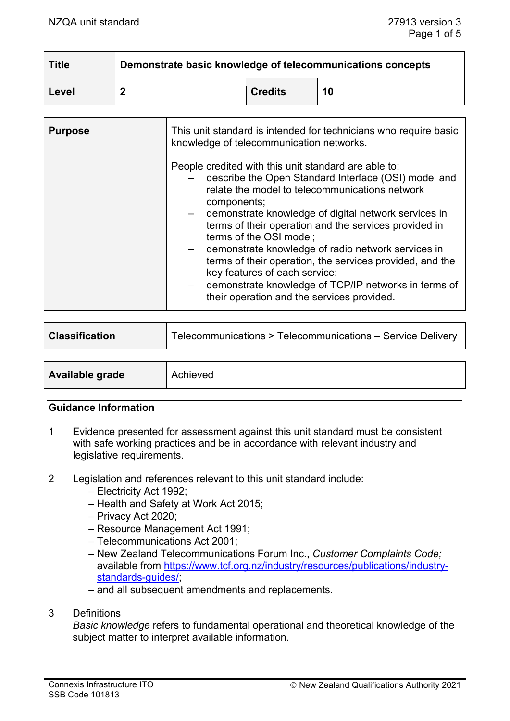| <b>Title</b> | Demonstrate basic knowledge of telecommunications concepts |                |    |
|--------------|------------------------------------------------------------|----------------|----|
| Level        |                                                            | <b>Credits</b> | 10 |

| <b>Purpose</b> | This unit standard is intended for technicians who require basic<br>knowledge of telecommunication networks.                                                                                                                                                                                                                                                                                                                                                                                                                                                                       |
|----------------|------------------------------------------------------------------------------------------------------------------------------------------------------------------------------------------------------------------------------------------------------------------------------------------------------------------------------------------------------------------------------------------------------------------------------------------------------------------------------------------------------------------------------------------------------------------------------------|
|                | People credited with this unit standard are able to:<br>describe the Open Standard Interface (OSI) model and<br>relate the model to telecommunications network<br>components;<br>demonstrate knowledge of digital network services in<br>terms of their operation and the services provided in<br>terms of the OSI model;<br>demonstrate knowledge of radio network services in<br>terms of their operation, the services provided, and the<br>key features of each service;<br>demonstrate knowledge of TCP/IP networks in terms of<br>their operation and the services provided. |

| <b>Classification</b>  | Telecommunications > Telecommunications - Service Delivery |
|------------------------|------------------------------------------------------------|
|                        |                                                            |
| <b>Available grade</b> | Achieved                                                   |

#### **Guidance Information**

- 1 Evidence presented for assessment against this unit standard must be consistent with safe working practices and be in accordance with relevant industry and legislative requirements.
- 2 Legislation and references relevant to this unit standard include:
	- − Electricity Act 1992;
	- − Health and Safety at Work Act 2015;
	- − Privacy Act 2020;
	- − Resource Management Act 1991;
	- − Telecommunications Act 2001;
	- − New Zealand Telecommunications Forum Inc., *Customer Complaints Code;*  available from [https://www.tcf.org.nz/industry/resources/publications/industry](https://www.tcf.org.nz/industry/resources/publications/industry-standards-guides/)[standards-guides/;](https://www.tcf.org.nz/industry/resources/publications/industry-standards-guides/)
	- − and all subsequent amendments and replacements.
- 3 Definitions

*Basic knowledge* refers to fundamental operational and theoretical knowledge of the subject matter to interpret available information.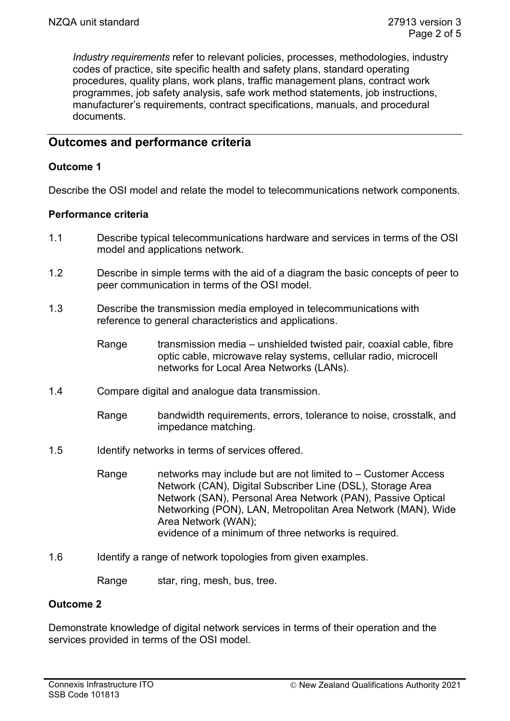*Industry requirements* refer to relevant policies, processes, methodologies, industry codes of practice, site specific health and safety plans, standard operating procedures, quality plans, work plans, traffic management plans, contract work programmes, job safety analysis, safe work method statements, job instructions, manufacturer's requirements, contract specifications, manuals, and procedural documents.

# **Outcomes and performance criteria**

## **Outcome 1**

Describe the OSI model and relate the model to telecommunications network components.

## **Performance criteria**

- 1.1 Describe typical telecommunications hardware and services in terms of the OSI model and applications network.
- 1.2 Describe in simple terms with the aid of a diagram the basic concepts of peer to peer communication in terms of the OSI model.
- 1.3 Describe the transmission media employed in telecommunications with reference to general characteristics and applications.
	- Range transmission media unshielded twisted pair, coaxial cable, fibre optic cable, microwave relay systems, cellular radio, microcell networks for Local Area Networks (LANs).
- 1.4 Compare digital and analogue data transmission.
	- Range bandwidth requirements, errors, tolerance to noise, crosstalk, and impedance matching.
- 1.5 Identify networks in terms of services offered.
	- Range metworks may include but are not limited to Customer Access Network (CAN), Digital Subscriber Line (DSL), Storage Area Network (SAN), Personal Area Network (PAN), Passive Optical Networking (PON), LAN, Metropolitan Area Network (MAN), Wide Area Network (WAN); evidence of a minimum of three networks is required.
- 1.6 Identify a range of network topologies from given examples.
	- Range star, ring, mesh, bus, tree.

# **Outcome 2**

Demonstrate knowledge of digital network services in terms of their operation and the services provided in terms of the OSI model.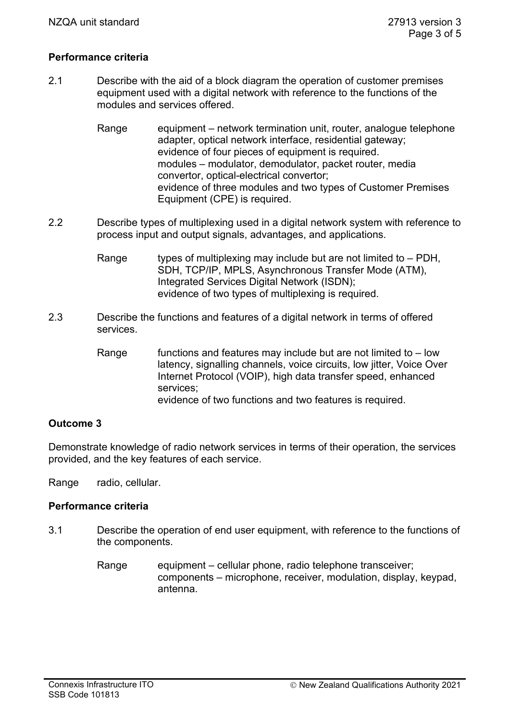### **Performance criteria**

- 2.1 Describe with the aid of a block diagram the operation of customer premises equipment used with a digital network with reference to the functions of the modules and services offered.
	- Range equipment network termination unit, router, analogue telephone adapter, optical network interface, residential gateway; evidence of four pieces of equipment is required. modules – modulator, demodulator, packet router, media convertor, optical-electrical convertor; evidence of three modules and two types of Customer Premises Equipment (CPE) is required.
- 2.2 Describe types of multiplexing used in a digital network system with reference to process input and output signals, advantages, and applications.
	- Range types of multiplexing may include but are not limited to  $-$  PDH, SDH, TCP/IP, MPLS, Asynchronous Transfer Mode (ATM), Integrated Services Digital Network (ISDN); evidence of two types of multiplexing is required.
- 2.3 Describe the functions and features of a digital network in terms of offered services.
	- Range  $\blacksquare$  functions and features may include but are not limited to low latency, signalling channels, voice circuits, low jitter, Voice Over Internet Protocol (VOIP), high data transfer speed, enhanced services; evidence of two functions and two features is required.

#### **Outcome 3**

Demonstrate knowledge of radio network services in terms of their operation, the services provided, and the key features of each service.

Range radio, cellular.

## **Performance criteria**

- 3.1 Describe the operation of end user equipment, with reference to the functions of the components.
	- Range equipment cellular phone, radio telephone transceiver; components – microphone, receiver, modulation, display, keypad, antenna.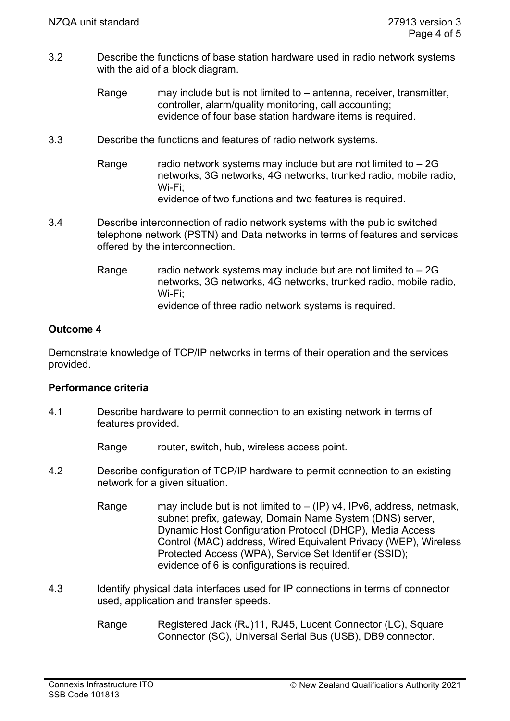- 3.2 Describe the functions of base station hardware used in radio network systems with the aid of a block diagram.
	- Range may include but is not limited to antenna, receiver, transmitter, controller, alarm/quality monitoring, call accounting; evidence of four base station hardware items is required.
- 3.3 Describe the functions and features of radio network systems.
	- Range radio network systems may include but are not limited to  $-2G$ networks, 3G networks, 4G networks, trunked radio, mobile radio, Wi-Fi; evidence of two functions and two features is required.
- 3.4 Describe interconnection of radio network systems with the public switched telephone network (PSTN) and Data networks in terms of features and services offered by the interconnection.
	- Range radio network systems may include but are not limited to  $-2G$ networks, 3G networks, 4G networks, trunked radio, mobile radio, Wi-Fi; evidence of three radio network systems is required.

# **Outcome 4**

Demonstrate knowledge of TCP/IP networks in terms of their operation and the services provided.

# **Performance criteria**

- 4.1 Describe hardware to permit connection to an existing network in terms of features provided.
	- Range router, switch, hub, wireless access point.
- 4.2 Describe configuration of TCP/IP hardware to permit connection to an existing network for a given situation.
	- Range may include but is not limited to  $-$  (IP) v4, IPv6, address, netmask, subnet prefix, gateway, Domain Name System (DNS) server, Dynamic Host Configuration Protocol (DHCP), Media Access Control (MAC) address, Wired Equivalent Privacy (WEP), Wireless Protected Access (WPA), Service Set Identifier (SSID); evidence of 6 is configurations is required.
- 4.3 Identify physical data interfaces used for IP connections in terms of connector used, application and transfer speeds.
	- Range Registered Jack (RJ)11, RJ45, Lucent Connector (LC), Square Connector (SC), Universal Serial Bus (USB), DB9 connector.